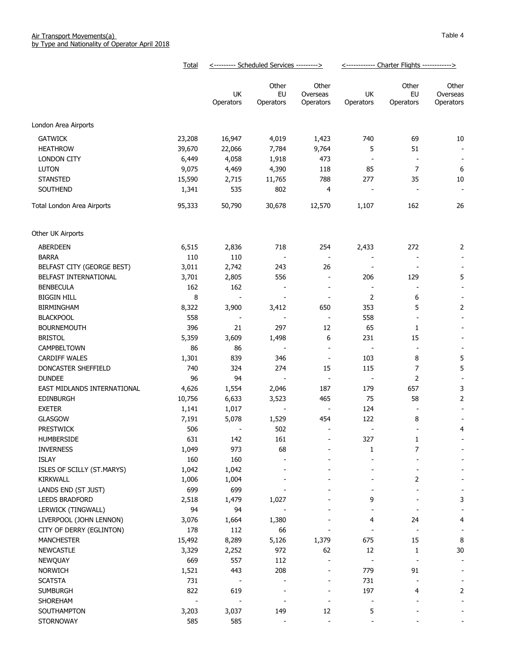|                                  | <b>Total</b>   | <--------- Scheduled Services ---------> |                          |                                                      | <------------ Charter Flights ------------> |                          |                          |
|----------------------------------|----------------|------------------------------------------|--------------------------|------------------------------------------------------|---------------------------------------------|--------------------------|--------------------------|
|                                  |                |                                          | Other                    | Other                                                |                                             | Other                    | Other                    |
|                                  |                | UK                                       | EU                       | Overseas                                             | UK                                          | EU                       | Overseas                 |
|                                  |                | Operators                                | Operators                | Operators                                            | Operators                                   | Operators                | Operators                |
| London Area Airports             |                |                                          |                          |                                                      |                                             |                          |                          |
| <b>GATWICK</b>                   | 23,208         | 16,947                                   | 4,019                    | 1,423                                                | 740                                         | 69                       | 10                       |
| <b>HEATHROW</b>                  | 39,670         | 22,066                                   | 7,784                    | 9,764                                                | 5                                           | 51                       |                          |
|                                  |                |                                          |                          |                                                      |                                             |                          | $\blacksquare$           |
| <b>LONDON CITY</b>               | 6,449          | 4,058                                    | 1,918                    | 473                                                  | $\overline{\phantom{a}}$                    |                          | $\overline{\phantom{a}}$ |
| <b>LUTON</b>                     | 9,075          | 4,469                                    | 4,390                    | 118                                                  | 85                                          | $\overline{7}$           | $\boldsymbol{6}$         |
| <b>STANSTED</b>                  | 15,590         | 2,715                                    | 11,765                   | 788                                                  | 277                                         | 35                       | $10\,$                   |
| SOUTHEND                         | 1,341          | 535                                      | 802                      | 4                                                    | $\overline{\phantom{a}}$                    |                          | $\overline{\phantom{a}}$ |
| Total London Area Airports       | 95,333         | 50,790                                   | 30,678                   | 12,570                                               | 1,107                                       | 162                      | 26                       |
| Other UK Airports                |                |                                          |                          |                                                      |                                             |                          |                          |
| ABERDEEN                         | 6,515          | 2,836                                    | 718                      | 254                                                  | 2,433                                       | 272                      | 2                        |
| <b>BARRA</b>                     | 110            | 110                                      |                          | $\overline{\phantom{a}}$                             |                                             |                          |                          |
| BELFAST CITY (GEORGE BEST)       | 3,011          | 2,742                                    | 243                      | 26                                                   | $\overline{\phantom{a}}$                    |                          |                          |
| BELFAST INTERNATIONAL            | 3,701          | 2,805                                    | 556                      | $\overline{\phantom{a}}$                             | 206                                         | 129                      | 5                        |
| <b>BENBECULA</b>                 | 162            | 162                                      | $\overline{\phantom{a}}$ | $\overline{\phantom{a}}$                             | $\overline{\phantom{a}}$                    | $\overline{\phantom{a}}$ |                          |
| <b>BIGGIN HILL</b>               | 8              |                                          |                          | $\overline{\phantom{a}}$                             | 2                                           | 6                        |                          |
| <b>BIRMINGHAM</b>                | 8,322          | 3,900                                    | 3,412                    | 650                                                  | 353                                         | 5                        | $\overline{2}$           |
| <b>BLACKPOOL</b>                 | 558            |                                          |                          | $\overline{\phantom{a}}$                             | 558                                         | $\overline{\phantom{a}}$ |                          |
| <b>BOURNEMOUTH</b>               | 396            | 21                                       | 297                      | 12                                                   | 65                                          | 1                        |                          |
| <b>BRISTOL</b>                   | 5,359          | 3,609                                    | 1,498                    | 6                                                    | 231                                         | 15                       |                          |
| CAMPBELTOWN                      | 86             | 86                                       |                          | $\overline{\phantom{a}}$                             | $\overline{\phantom{a}}$                    | $\overline{\phantom{a}}$ |                          |
| <b>CARDIFF WALES</b>             | 1,301          | 839                                      | 346                      | $\overline{\phantom{a}}$                             | 103                                         | 8                        | 5                        |
| DONCASTER SHEFFIELD              | 740            | 324                                      | 274                      | 15                                                   | 115                                         | 7                        | 5                        |
| <b>DUNDEE</b>                    | 96             | 94                                       | $\overline{\phantom{a}}$ | $\blacksquare$                                       | $\overline{\phantom{a}}$                    | 2                        |                          |
| EAST MIDLANDS INTERNATIONAL      | 4,626          | 1,554                                    | 2,046                    | 187                                                  | 179                                         | 657                      | 3                        |
| <b>EDINBURGH</b>                 | 10,756         | 6,633                                    | 3,523                    | 465                                                  | 75                                          | 58                       | 2                        |
| <b>EXETER</b>                    | 1,141          | 1,017                                    | $\overline{\phantom{a}}$ | $\overline{\phantom{a}}$                             | 124                                         |                          |                          |
| <b>GLASGOW</b>                   | 7,191          | 5,078                                    | 1,529                    | 454                                                  | 122                                         | 8                        |                          |
| <b>PRESTWICK</b>                 | 506            |                                          | 502                      | $\blacksquare$                                       | $\overline{\phantom{a}}$                    |                          | 4                        |
| HUMBERSIDE                       | 631            | 142                                      | 161                      |                                                      | 327                                         | 1                        |                          |
| <b>INVERNESS</b>                 | 1,049          | 973                                      | 68                       |                                                      | 1                                           | 7                        |                          |
| <b>ISLAY</b>                     | 160            | 160                                      |                          |                                                      |                                             |                          |                          |
| ISLES OF SCILLY (ST.MARYS)       | 1,042          | 1,042                                    |                          |                                                      |                                             |                          |                          |
| <b>KIRKWALL</b>                  | 1,006          | 1,004                                    |                          |                                                      |                                             | 2                        |                          |
| LANDS END (ST JUST)              | 699            | 699                                      |                          |                                                      |                                             |                          |                          |
| <b>LEEDS BRADFORD</b>            | 2,518          | 1,479                                    | 1,027                    |                                                      | 9                                           |                          | 3                        |
| LERWICK (TINGWALL)               | 94             | 94                                       |                          |                                                      |                                             |                          |                          |
| LIVERPOOL (JOHN LENNON)          | 3,076          | 1,664                                    | 1,380                    |                                                      | 4                                           | 24                       | 4                        |
| CITY OF DERRY (EGLINTON)         | 178            | 112                                      | 66                       |                                                      | $\overline{\phantom{a}}$                    | $\overline{\phantom{a}}$ |                          |
| <b>MANCHESTER</b>                | 15,492         | 8,289                                    | 5,126                    | 1,379                                                | 675                                         | 15                       | 8                        |
| <b>NEWCASTLE</b>                 | 3,329          | 2,252                                    | 972                      | 62                                                   | 12                                          | $\mathbf{1}$             | $30\,$                   |
|                                  | 669            | 557                                      |                          |                                                      |                                             |                          |                          |
| <b>NEWQUAY</b><br><b>NORWICH</b> | 1,521          | 443                                      | 112<br>208               | $\overline{\phantom{a}}$<br>$\overline{\phantom{a}}$ | $\overline{\phantom{a}}$<br>779             | $\blacksquare$<br>91     | $\overline{\phantom{a}}$ |
| <b>SCATSTA</b>                   | 731            |                                          |                          |                                                      | 731                                         |                          |                          |
|                                  | 822            | 619                                      |                          |                                                      | 197                                         |                          |                          |
| <b>SUMBURGH</b>                  | $\blacksquare$ |                                          | $\overline{\phantom{m}}$ | $\overline{\phantom{a}}$                             |                                             | 4                        | 2                        |
| SHOREHAM                         |                |                                          |                          |                                                      | $\overline{\phantom{a}}$                    |                          |                          |
| SOUTHAMPTON                      | 3,203<br>585   | 3,037<br>585                             | 149<br>$\overline{a}$    | 12<br>$\overline{a}$                                 | 5<br>$\overline{\phantom{a}}$               |                          |                          |
| STORNOWAY                        |                |                                          |                          |                                                      |                                             |                          |                          |